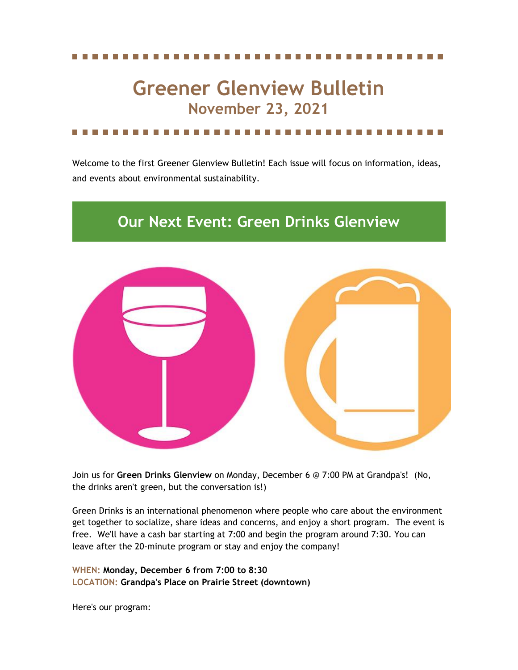# **Greener Glenview Bulletin November 23, 2021**

Welcome to the first Greener Glenview Bulletin! Each issue will focus on information, ideas, and events about environmental sustainability.

### **Our Next Event: Green Drinks Glenview**



Join us for **Green Drinks Glenview** on Monday, December 6 @ 7:00 PM at Grandpa's! (No, the drinks aren't green, but the conversation is!)

Green Drinks is an international phenomenon where people who care about the environment get together to socialize, share ideas and concerns, and enjoy a short program. The event is free. We'll have a cash bar starting at 7:00 and begin the program around 7:30. You can leave after the 20-minute program or stay and enjoy the company!

**WHEN: Monday, December 6 from 7:00 to 8:30 LOCATION: Grandpa's Place on Prairie Street (downtown)**

Here's our program: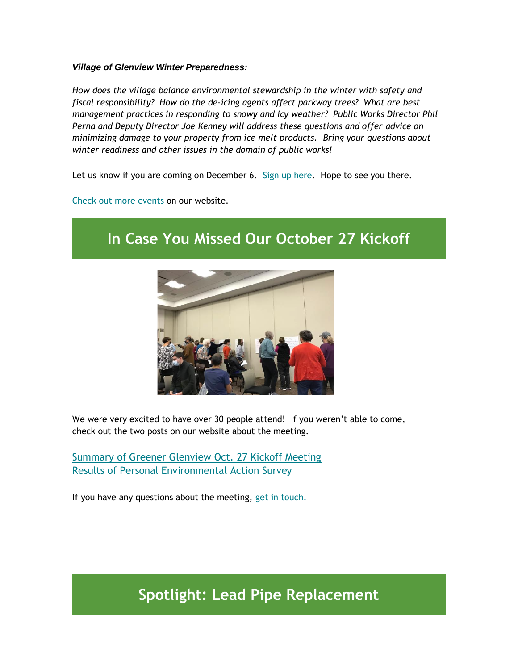### *Village of Glenview Winter Preparedness:*

*How does the village balance environmental stewardship in the winter with safety and fiscal responsibility? How do the de-icing agents affect parkway trees? What are best management practices in responding to snowy and icy weather? Public Works Director Phil Perna and Deputy Director Joe Kenney will address these questions and offer advice on minimizing damage to your property from ice melt products. Bring your questions about winter readiness and other issues in the domain of public works!*

Let us know if you are coming on December 6. [Sign up here.](https://www.greenerglenview.org/green-drinks-glenview-signup) Hope to see you there.

[Check out more events](https://www.greenerglenview.org/events) on our website.

## **In Case You Missed Our October 27 Kickoff**



We were very excited to have over 30 people attend! If you weren't able to come, check out the two posts on our website about the meeting.

[Summary of Greener Glenview Oct. 27 Kickoff Meeting](https://www.greenerglenview.org/post/summary-of-gg-october-27-kickoff-meeting) [Results of Personal Environmental Action Survey](https://www.greenerglenview.org/post/results-for-greener-glenview-personal-environmental-action-survey)

If you have any questions about the meeting, [get in touch.](https://www.greenerglenview.org/contact-us)

**Spotlight: Lead Pipe Replacement**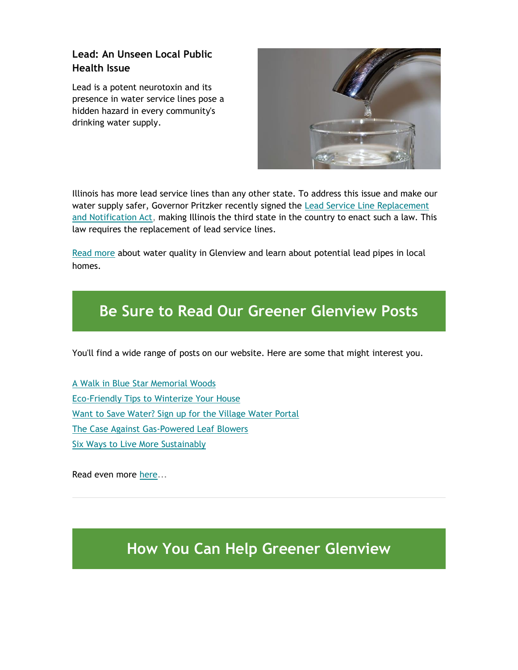### **Lead: An Unseen Local Public Health Issue**

Lead is a potent neurotoxin and its presence in water service lines pose a hidden hazard in every community's drinking water supply.



Illinois has more lead service lines than any other state. To address this issue and make our water supply safer, Governor Pritzker recently signed the [Lead Service Line Replacement](https://ilga.gov/legislation/publicacts/102/PDF/102-0613.pdf)  [and Notification Act,](https://ilga.gov/legislation/publicacts/102/PDF/102-0613.pdf) making Illinois the third state in the country to enact such a law. This law requires the replacement of lead service lines.

[Read more](https://www.greenerglenview.org/post/lead-an-unseen-local-public-health-issue) about water quality in Glenview and learn about potential lead pipes in local homes.

## **Be Sure to Read Our Greener Glenview Posts**

You'll find a wide range of posts on our website. Here are some that might interest you.

[A Walk in Blue Star Memorial Woods](https://www.greenerglenview.org/post/a-walk-in-blue-star-woods) [Eco-Friendly Tips to Winterize Your House](https://www.greenerglenview.org/post/eco-friendly-tips-to-winterize-your-house) [Want to Save Water? Sign up for the Village Water Portal](https://www.greenerglenview.org/post/want-to-save-water-sign-up-for-the-village-water-portal) [The Case Against Gas-Powered Leaf Blowers](https://www.greenerglenview.org/post/the-case-against-gas-powered-leaf-blowers) [Six Ways to Live More Sustainably](https://www.greenerglenview.org/post/6-ways-to-live-more-sustainably)

Read even more [here.](https://www.greenerglenview.org/topics)..

## **How You Can Help Greener Glenview**